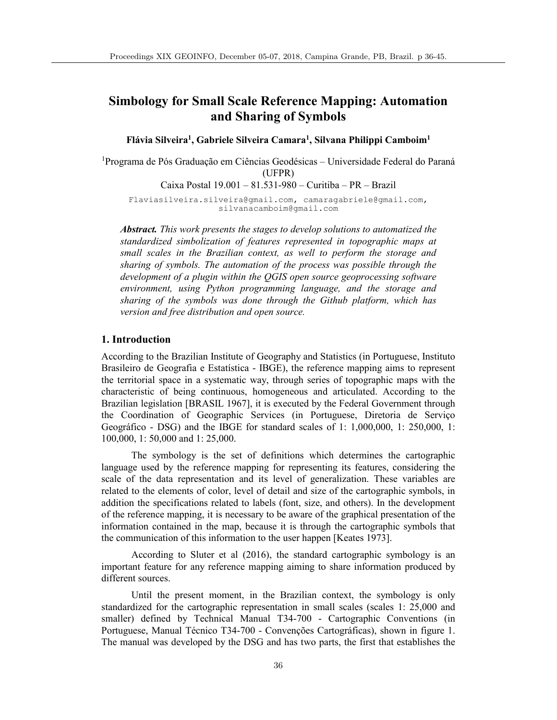# **Simbology for Small Scale Reference Mapping: Automation and Sharing of Symbols**

**Flávia Silveira1, Gabriele Silveira Camara1, Silvana Philippi Camboim1**

<sup>1</sup>Programa de Pós Graduação em Ciências Geodésicas - Universidade Federal do Paraná (UFPR)

Caixa Postal 19.001 – 81.531-980 – Curitiba – PR – Brazil

Flaviasilveira.silveira@gmail.com, camaragabriele@gmail.com, silvanacamboim@gmail.com

*Abstract. This work presents the stages to develop solutions to automatized the standardized simbolization of features represented in topographic maps at small scales in the Brazilian context, as well to perform the storage and sharing of symbols. The automation of the process was possible through the development of a plugin within the QGIS open source geoprocessing software environment, using Python programming language, and the storage and sharing of the symbols was done through the Github platform, which has version and free distribution and open source.*

## **1. Introduction**

According to the Brazilian Institute of Geography and Statistics (in Portuguese, Instituto Brasileiro de Geografia e Estatística - IBGE), the reference mapping aims to represent the territorial space in a systematic way, through series of topographic maps with the characteristic of being continuous, homogeneous and articulated. According to the Brazilian legislation [BRASIL 1967], it is executed by the Federal Government through the Coordination of Geographic Services (in Portuguese, Diretoria de Serviço Geográfico - DSG) and the IBGE for standard scales of 1: 1,000,000, 1: 250,000, 1: 100,000, 1: 50,000 and 1: 25,000.

The symbology is the set of definitions which determines the cartographic language used by the reference mapping for representing its features, considering the scale of the data representation and its level of generalization. These variables are related to the elements of color, level of detail and size of the cartographic symbols, in addition the specifications related to labels (font, size, and others). In the development of the reference mapping, it is necessary to be aware of the graphical presentation of the information contained in the map, because it is through the cartographic symbols that the communication of this information to the user happen [Keates 1973].

According to Sluter et al (2016), the standard cartographic symbology is an important feature for any reference mapping aiming to share information produced by different sources.

Until the present moment, in the Brazilian context, the symbology is only standardized for the cartographic representation in small scales (scales 1: 25,000 and smaller) defined by Technical Manual T34-700 - Cartographic Conventions (in Portuguese, Manual Técnico T34-700 - Convenções Cartográficas), shown in figure 1. The manual was developed by the DSG and has two parts, the first that establishes the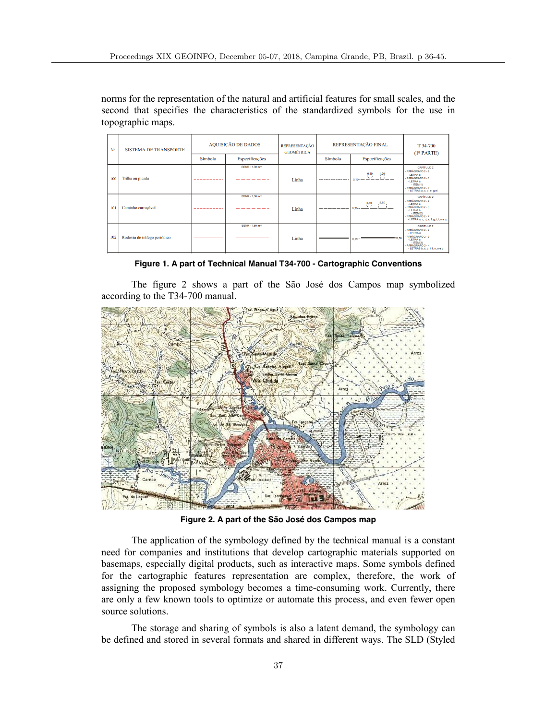norms for the representation of the natural and artificial features for small scales, and the second that specifies the characteristics of the standardized symbols for the use in topographic maps.

| $N^{\circ}$ | <b>SISTEMA DE TRANSPORTE</b> | <b>AQUISIÇÃO DE DADOS</b> |                                | <b>REPRESENTACÃO</b><br><b>GEOMÉTRICA</b> | REPRESENTAÇÃO FINAL |                             | T 34-700<br>(1 <sup>a</sup> PARTE)                                                                                                                                    |
|-------------|------------------------------|---------------------------|--------------------------------|-------------------------------------------|---------------------|-----------------------------|-----------------------------------------------------------------------------------------------------------------------------------------------------------------------|
|             |                              | Símbolo                   | Especificações                 |                                           | Símbolo             | Especificações              |                                                                                                                                                                       |
| 100         | Trilha ou picada             |                           | SSNR - 1.50 mm                 | Linha                                     | -------------       | $240 - 120$<br>$0.13 - -$   | <b>CAPÍTULO 2</b><br>- PARÁGRAFO 2 - 2<br>$-IFTRA8$<br><b>PARÁGRAFO 2 - 3</b><br>$-$ LETRA $\alpha$<br>$-$ ITEM 1)<br>- PARÁGRAFO 2 - 4<br>- LETRAS a, c, d, e, g e i |
| 101         | Caminho carrocável           | ------------              | <b>SSNR - 1,50 mm</b><br>_____ | Linha                                     | --------            | $0,40$ $2,50$<br>$0.20 - -$ | <b>CAPÍTULO 2</b><br>- PARÁGRAFO 2 - 2<br>- LETRA a<br>PARÁGRAFO 2 - 3<br>- LETRA a<br>$-$ ITEM 2)<br>- PARÁGRAFO 2 - 4<br>- LETRA a, c, d, e, f, g, i, l, n e q      |
| 102         | Rodovia de tráfego periódico |                           | SSNR - 1,50 mm                 | Linha                                     |                     | $0.13 - 50.50$              | CAPÍTULO 2<br>PARÁGRAFO 2 - 2<br>-LETRA a<br>PARÁGRAFO 2 - 3<br>- LETRA a<br>- ITEM 3)<br>PARÁGRAFO 2 - 4<br>- LETRAS b, c, d, i, l, n, o e p                         |

**Figure 1. A part of Technical Manual T34-700 - Cartographic Conventions**

The figure 2 shows a part of the São José dos Campos map symbolized according to the T34-700 manual.



**Figure 2. A part of the São José dos Campos map**

The application of the symbology defined by the technical manual is a constant need for companies and institutions that develop cartographic materials supported on basemaps, especially digital products, such as interactive maps. Some symbols defined for the cartographic features representation are complex, therefore, the work of assigning the proposed symbology becomes a time-consuming work. Currently, there are only a few known tools to optimize or automate this process, and even fewer open source solutions.

The storage and sharing of symbols is also a latent demand, the symbology can be defined and stored in several formats and shared in different ways. The SLD (Styled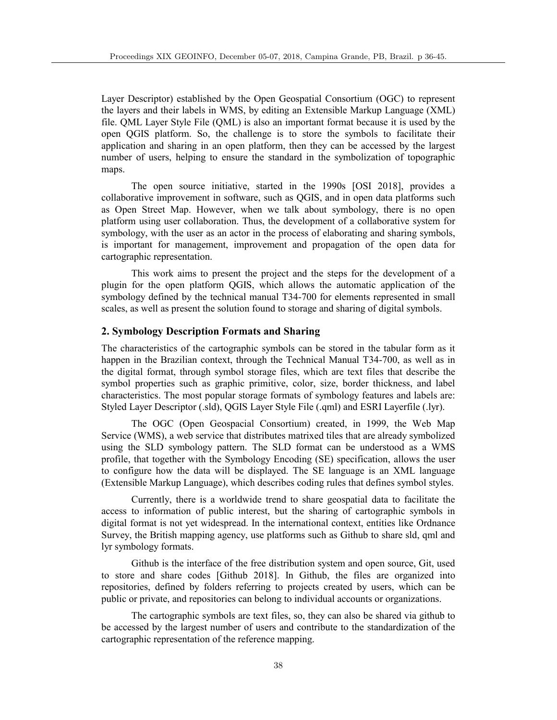Layer Descriptor) established by the Open Geospatial Consortium (OGC) to represent the layers and their labels in WMS, by editing an Extensible Markup Language (XML) file. QML Layer Style File (QML) is also an important format because it is used by the open QGIS platform. So, the challenge is to store the symbols to facilitate their application and sharing in an open platform, then they can be accessed by the largest number of users, helping to ensure the standard in the symbolization of topographic maps.

The open source initiative, started in the 1990s [OSI 2018], provides a collaborative improvement in software, such as QGIS, and in open data platforms such as Open Street Map. However, when we talk about symbology, there is no open platform using user collaboration. Thus, the development of a collaborative system for symbology, with the user as an actor in the process of elaborating and sharing symbols, is important for management, improvement and propagation of the open data for cartographic representation.

This work aims to present the project and the steps for the development of a plugin for the open platform QGIS, which allows the automatic application of the symbology defined by the technical manual T34-700 for elements represented in small scales, as well as present the solution found to storage and sharing of digital symbols.

## **2. Symbology Description Formats and Sharing**

The characteristics of the cartographic symbols can be stored in the tabular form as it happen in the Brazilian context, through the Technical Manual T34-700, as well as in the digital format, through symbol storage files, which are text files that describe the symbol properties such as graphic primitive, color, size, border thickness, and label characteristics. The most popular storage formats of symbology features and labels are: Styled Layer Descriptor (.sld), QGIS Layer Style File (.qml) and ESRI Layerfile (.lyr).

The OGC (Open Geospacial Consortium) created, in 1999, the Web Map Service (WMS), a web service that distributes matrixed tiles that are already symbolized using the SLD symbology pattern. The SLD format can be understood as a WMS profile, that together with the Symbology Encoding (SE) specification, allows the user to configure how the data will be displayed. The SE language is an XML language (Extensible Markup Language), which describes coding rules that defines symbol styles.

Currently, there is a worldwide trend to share geospatial data to facilitate the access to information of public interest, but the sharing of cartographic symbols in digital format is not yet widespread. In the international context, entities like Ordnance Survey, the British mapping agency, use platforms such as Github to share sld, qml and lyr symbology formats.

Github is the interface of the free distribution system and open source, Git, used to store and share codes [Github 2018]. In Github, the files are organized into repositories, defined by folders referring to projects created by users, which can be public or private, and repositories can belong to individual accounts or organizations.

The cartographic symbols are text files, so, they can also be shared via github to be accessed by the largest number of users and contribute to the standardization of the cartographic representation of the reference mapping.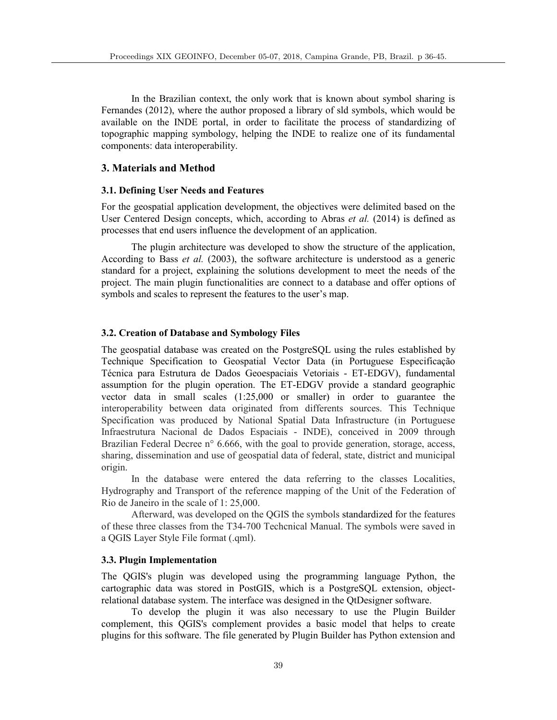In the Brazilian context, the only work that is known about symbol sharing is Fernandes (2012), where the author proposed a library of sld symbols, which would be available on the INDE portal, in order to facilitate the process of standardizing of topographic mapping symbology, helping the INDE to realize one of its fundamental components: data interoperability.

## **3. Materials and Method**

## **3.1. Defining User Needs and Features**

For the geospatial application development, the objectives were delimited based on the User Centered Design concepts, which, according to Abras *et al.* (2014) is defined as processes that end users influence the development of an application.

The plugin architecture was developed to show the structure of the application, According to Bass *et al.* (2003), the software architecture is understood as a generic standard for a project, explaining the solutions development to meet the needs of the project. The main plugin functionalities are connect to a database and offer options of symbols and scales to represent the features to the user's map.

#### **3.2. Creation of Database and Symbology Files**

The geospatial database was created on the PostgreSQL using the rules established by Technique Specification to Geospatial Vector Data (in Portuguese Especificação Técnica para Estrutura de Dados Geoespaciais Vetoriais - ET-EDGV), fundamental assumption for the plugin operation. The ET-EDGV provide a standard geographic vector data in small scales (1:25,000 or smaller) in order to guarantee the interoperability between data originated from differents sources. This Technique Specification was produced by National Spatial Data Infrastructure (in Portuguese Infraestrutura Nacional de Dados Espaciais - INDE), conceived in 2009 through Brazilian Federal Decree n° 6.666, with the goal to provide generation, storage, access, sharing, dissemination and use of geospatial data of federal, state, district and municipal origin.

In the database were entered the data referring to the classes Localities, Hydrography and Transport of the reference mapping of the Unit of the Federation of Rio de Janeiro in the scale of 1: 25,000.

Afterward, was developed on the QGIS the symbols standardized for the features of these three classes from the T34-700 Techcnical Manual. The symbols were saved in a QGIS Layer Style File format (.qml).

## **3.3. Plugin Implementation**

The QGIS's plugin was developed using the programming language Python, the cartographic data was stored in PostGIS, which is a PostgreSQL extension, objectrelational database system. The interface was designed in the QtDesigner software.

To develop the plugin it was also necessary to use the Plugin Builder complement, this QGIS's complement provides a basic model that helps to create plugins for this software. The file generated by Plugin Builder has Python extension and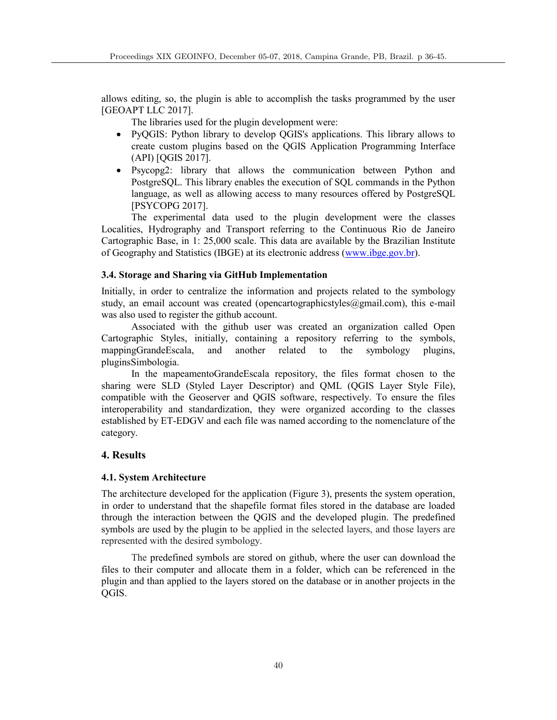allows editing, so, the plugin is able to accomplish the tasks programmed by the user [GEOAPT LLC 2017].

The libraries used for the plugin development were:

- PyQGIS: Python library to develop QGIS's applications. This library allows to create custom plugins based on the QGIS Application Programming Interface (API) [QGIS 2017].
- Psycopg2: library that allows the communication between Python and PostgreSQL. This library enables the execution of SQL commands in the Python language, as well as allowing access to many resources offered by PostgreSQL [PSYCOPG 2017].

The experimental data used to the plugin development were the classes Localities, Hydrography and Transport referring to the Continuous Rio de Janeiro Cartographic Base, in 1: 25,000 scale. This data are available by the Brazilian Institute of Geography and Statistics (IBGE) at its electronic address (www.ibge.gov.br).

## **3.4. Storage and Sharing via GitHub Implementation**

Initially, in order to centralize the information and projects related to the symbology study, an email account was created (opencartographicstyles@gmail.com), this e-mail was also used to register the github account.

Associated with the github user was created an organization called Open Cartographic Styles, initially, containing a repository referring to the symbols, mappingGrandeEscala, and another related to the symbology plugins, pluginsSimbologia.

In the mapeamentoGrandeEscala repository, the files format chosen to the sharing were SLD (Styled Layer Descriptor) and QML (QGIS Layer Style File), compatible with the Geoserver and QGIS software, respectively. To ensure the files interoperability and standardization, they were organized according to the classes established by ET-EDGV and each file was named according to the nomenclature of the category.

# **4. Results**

#### **4.1. System Architecture**

The architecture developed for the application (Figure 3), presents the system operation, in order to understand that the shapefile format files stored in the database are loaded through the interaction between the QGIS and the developed plugin. The predefined symbols are used by the plugin to be applied in the selected layers, and those layers are represented with the desired symbology.

The predefined symbols are stored on github, where the user can download the files to their computer and allocate them in a folder, which can be referenced in the plugin and than applied to the layers stored on the database or in another projects in the QGIS.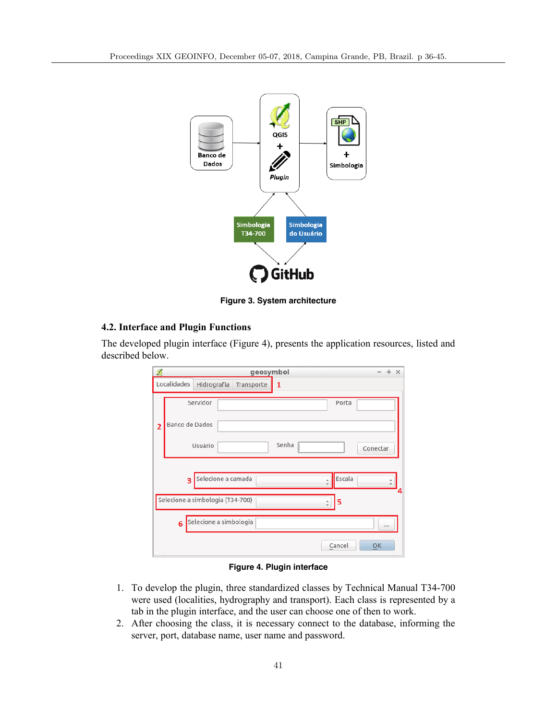

**Figure 3. System architecture**

## **4.2. Interface and Plugin Functions**

The developed plugin interface (Figure 4), presents the application resources, listed and described below.

| $\mathcal{R}$<br>geosymbol<br>$\times$ |                                               |  |  |  |  |  |
|----------------------------------------|-----------------------------------------------|--|--|--|--|--|
|                                        | Localidades<br>Hidrografia<br>Transporte<br>1 |  |  |  |  |  |
| $\overline{2}$                         | Servidor<br>Porta<br>Banco de Dados           |  |  |  |  |  |
|                                        | Senha<br>Usuário<br>Conectar                  |  |  |  |  |  |
|                                        | Escala<br>Selecione a camada<br>3<br>۸        |  |  |  |  |  |
|                                        | Selecione a simbologia (T34-700)<br>5         |  |  |  |  |  |
|                                        | Selecione a simbologia<br>6<br>1.11           |  |  |  |  |  |
|                                        | Cancel<br>OK                                  |  |  |  |  |  |

**Figure 4. Plugin interface**

- 1. To develop the plugin, three standardized classes by Technical Manual T34-700 were used (localities, hydrography and transport). Each class is represented by a tab in the plugin interface, and the user can choose one of then to work.
- 2. After choosing the class, it is necessary connect to the database, informing the server, port, database name, user name and password.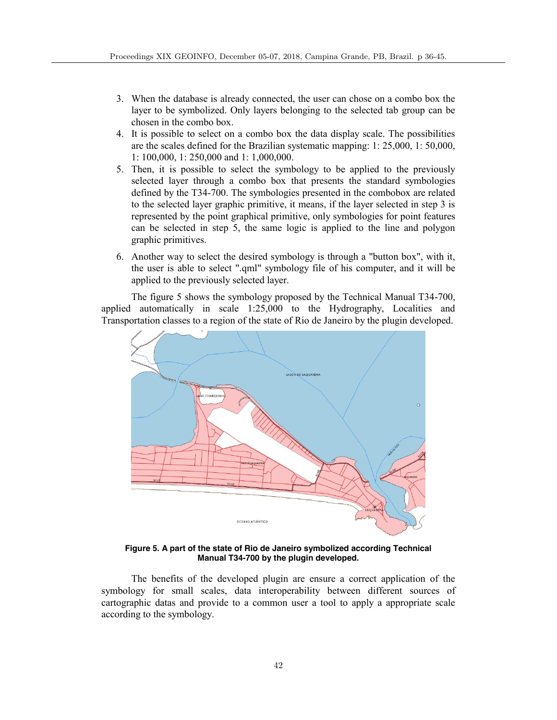- 3. When the database is already connected, the user can chose on a combo box the layer to be symbolized. Only layers belonging to the selected tab group can be chosen in the combo box.
- 4. It is possible to select on a combo box the data display scale. The possibilities are the scales defined for the Brazilian systematic mapping: 1: 25,000, 1: 50,000, 1: 100,000, 1: 250,000 and 1: 1,000,000.
- 5. Then, it is possible to select the symbology to be applied to the previously selected layer through a combo box that presents the standard symbologies defined by the T34-700. The symbologies presented in the combobox are related to the selected layer graphic primitive, it means, if the layer selected in step 3 is represented by the point graphical primitive, only symbologies for point features can be selected in step 5, the same logic is applied to the line and polygon graphic primitives.
- 6. Another way to select the desired symbology is through a "button box", with it, the user is able to select ".qml" symbology file of his computer, and it will be applied to the previously selected layer.

The figure 5 shows the symbology proposed by the Technical Manual T34-700, applied automatically in scale 1:25,000 to the Hydrography, Localities and Transportation classes to a region of the state of Rio de Janeiro by the plugin developed.



**Figure 5. A part of the state of Rio de Janeiro symbolized according Technical Manual T34-700 by the plugin developed.**

The benefits of the developed plugin are ensure a correct application of the symbology for small scales, data interoperability between different sources of cartographic datas and provide to a common user a tool to apply a appropriate scale according to the symbology.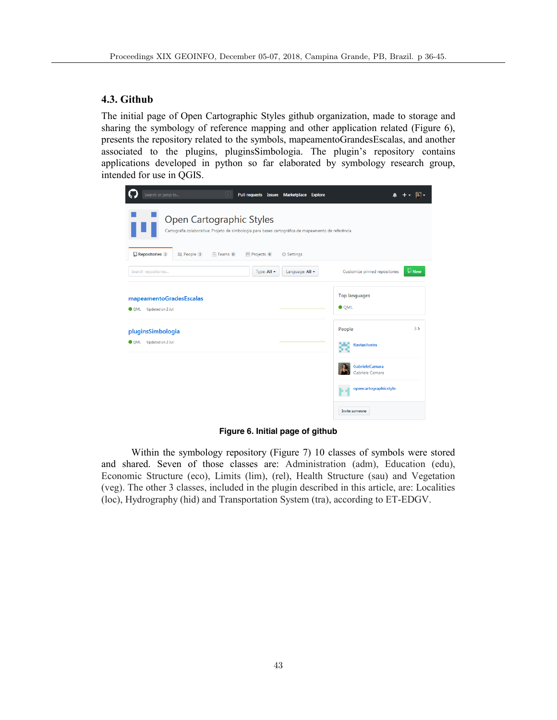# **4.3. Github**

The initial page of Open Cartographic Styles github organization, made to storage and sharing the symbology of reference mapping and other application related (Figure 6), presents the repository related to the symbols, mapeamentoGrandesEscalas, and another associated to the plugins, pluginsSimbologia. The plugin's repository contains applications developed in python so far elaborated by symbology research group, intended for use in QGIS.

| Search or jump to                                                                                                               |                | Pull requests Issues Marketplace Explore |                                      |                        |
|---------------------------------------------------------------------------------------------------------------------------------|----------------|------------------------------------------|--------------------------------------|------------------------|
| Open Cartographic Styles<br>Cartografia colaborativa: Projeto de simbologia para bases cartográfica de mapeamento de referência |                |                                          |                                      |                        |
| $\Box$ Repositories 2<br><b>LL</b> People 3<br><sup>11</sup> Teams 0                                                            | III Projects 0 | Settings                                 |                                      |                        |
| Search repositories                                                                                                             | Type: All -    | Language: All -                          | Customize pinned repositories        | $\n  \blacksquare New$ |
| mapeamentoGradesEscalas<br>Updated on 2 Jul<br><b>O</b> QML                                                                     |                |                                          | <b>Top languages</b><br><b>O</b> OML |                        |
| pluginsSimbologia                                                                                                               |                |                                          | People                               | $3\lambda$             |
| Updated on 2 Jul<br><b>O</b> QML                                                                                                |                |                                          | flaviasilveira                       |                        |
|                                                                                                                                 |                |                                          | GabrieleCamara<br>Gabriele Camara    |                        |
|                                                                                                                                 |                |                                          | opencartographicstyle<br>hг          |                        |
|                                                                                                                                 |                |                                          | Invite someone                       |                        |

**Figure 6. Initial page of github**

Within the symbology repository (Figure 7) 10 classes of symbols were stored and shared. Seven of those classes are: Administration (adm), Education (edu), Economic Structure (eco), Limits (lim), (rel), Health Structure (sau) and Vegetation (veg). The other 3 classes, included in the plugin described in this article, are: Localities (loc), Hydrography (hid) and Transportation System (tra), according to ET-EDGV.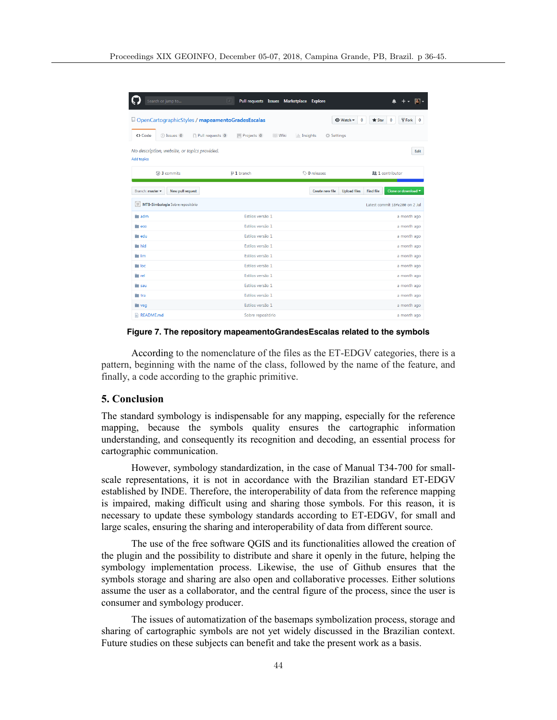| Search or jump to                                                                        | Pull requests Issues Marketplace Explore<br>$\vert$ / $\vert$ |                                   |                                                                                   |
|------------------------------------------------------------------------------------------|---------------------------------------------------------------|-----------------------------------|-----------------------------------------------------------------------------------|
| □ OpenCartographicStyles / mapeamentoGradesEscalas                                       |                                                               | <b>⊙</b> Watch ▼                  | $\mathcal Y$ Fork<br>$\bf{0}$<br>$\bf{0}$<br><b>★</b> Star<br>$\bf{0}$            |
| <> Code<br>(*) Pull requests 0<br>1 Issues 0                                             | III Projects 0<br><b>III</b> Wiki                             | III Insights<br><b>C</b> Settings |                                                                                   |
| No description, website, or topics provided.<br><b>Add topics</b>                        |                                                               |                                   | Edit                                                                              |
| ි 3 commits                                                                              | $$2$$ 1 branch                                                | $\circledcirc$ 0 releases         | <b>22 1</b> contributor                                                           |
| Branch: master =<br>New pull request                                                     |                                                               | Create new file                   | <b>Find file</b><br>Clone or download $\blacktriangledown$<br><b>Upload files</b> |
| $\left( \begin{array}{c} 0 \\ 0 \end{array} \right)$<br>MTB-Simbologia Sobre repositório |                                                               |                                   | Latest commit 18fe200 on 2 Jul                                                    |
| $\blacksquare$ adm                                                                       | Estilos versão 1                                              |                                   | a month ago                                                                       |
| $\blacksquare$ eco                                                                       | Estilos versão 1                                              |                                   | a month ago                                                                       |
| edu edu                                                                                  | Estilos versão 1                                              |                                   | a month ago                                                                       |
| hid                                                                                      | Estilos versão 1                                              |                                   | a month ago                                                                       |
| $\blacksquare$ lim                                                                       | Estilos versão 1                                              |                                   | a month ago                                                                       |
| <b>Next Report</b>                                                                       | Estilos versão 1                                              |                                   | a month ago                                                                       |
| <b>The rel</b>                                                                           | Estilos versão 1                                              |                                   | a month ago                                                                       |
| <b>Sau</b>                                                                               | Estilos versão 1                                              |                                   | a month ago                                                                       |
| <b>tra</b>                                                                               | Estilos versão 1                                              |                                   | a month ago                                                                       |
| $\blacksquare$ veg                                                                       | Estilos versão 1                                              |                                   | a month ago                                                                       |
| README <sub>md</sub>                                                                     | Sobre repositório                                             |                                   | a month ago                                                                       |

**Figure 7. The repository mapeamentoGrandesEscalas related to the symbols**

According to the nomenclature of the files as the ET-EDGV categories, there is a pattern, beginning with the name of the class, followed by the name of the feature, and finally, a code according to the graphic primitive.

#### **5. Conclusion**

The standard symbology is indispensable for any mapping, especially for the reference mapping, because the symbols quality ensures the cartographic information understanding, and consequently its recognition and decoding, an essential process for cartographic communication.

However, symbology standardization, in the case of Manual T34-700 for smallscale representations, it is not in accordance with the Brazilian standard ET-EDGV established by INDE. Therefore, the interoperability of data from the reference mapping is impaired, making difficult using and sharing those symbols. For this reason, it is necessary to update these symbology standards according to ET-EDGV, for small and large scales, ensuring the sharing and interoperability of data from different source.

The use of the free software QGIS and its functionalities allowed the creation of the plugin and the possibility to distribute and share it openly in the future, helping the symbology implementation process. Likewise, the use of Github ensures that the symbols storage and sharing are also open and collaborative processes. Either solutions assume the user as a collaborator, and the central figure of the process, since the user is consumer and symbology producer.

The issues of automatization of the basemaps symbolization process, storage and sharing of cartographic symbols are not yet widely discussed in the Brazilian context. Future studies on these subjects can benefit and take the present work as a basis.